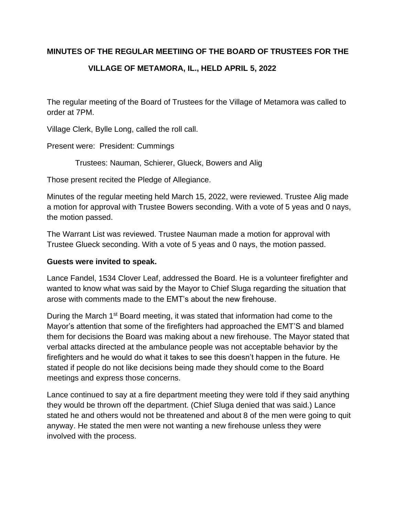#### **MINUTES OF THE REGULAR MEETIING OF THE BOARD OF TRUSTEES FOR THE**

# **VILLAGE OF METAMORA, IL., HELD APRIL 5, 2022**

The regular meeting of the Board of Trustees for the Village of Metamora was called to order at 7PM.

Village Clerk, Bylle Long, called the roll call.

Present were: President: Cummings

Trustees: Nauman, Schierer, Glueck, Bowers and Alig

Those present recited the Pledge of Allegiance.

Minutes of the regular meeting held March 15, 2022, were reviewed. Trustee Alig made a motion for approval with Trustee Bowers seconding. With a vote of 5 yeas and 0 nays, the motion passed.

The Warrant List was reviewed. Trustee Nauman made a motion for approval with Trustee Glueck seconding. With a vote of 5 yeas and 0 nays, the motion passed.

#### **Guests were invited to speak.**

Lance Fandel, 1534 Clover Leaf, addressed the Board. He is a volunteer firefighter and wanted to know what was said by the Mayor to Chief Sluga regarding the situation that arose with comments made to the EMT's about the new firehouse.

During the March 1<sup>st</sup> Board meeting, it was stated that information had come to the Mayor's attention that some of the firefighters had approached the EMT'S and blamed them for decisions the Board was making about a new firehouse. The Mayor stated that verbal attacks directed at the ambulance people was not acceptable behavior by the firefighters and he would do what it takes to see this doesn't happen in the future. He stated if people do not like decisions being made they should come to the Board meetings and express those concerns.

Lance continued to say at a fire department meeting they were told if they said anything they would be thrown off the department. (Chief Sluga denied that was said.) Lance stated he and others would not be threatened and about 8 of the men were going to quit anyway. He stated the men were not wanting a new firehouse unless they were involved with the process.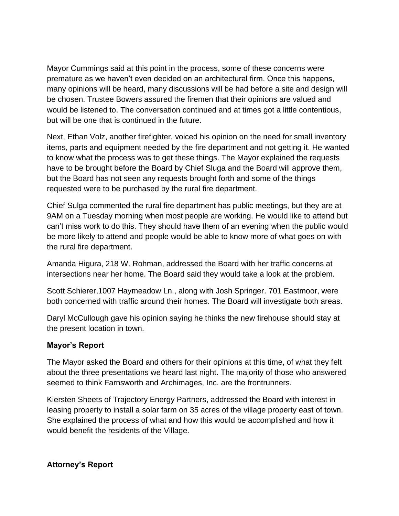Mayor Cummings said at this point in the process, some of these concerns were premature as we haven't even decided on an architectural firm. Once this happens, many opinions will be heard, many discussions will be had before a site and design will be chosen. Trustee Bowers assured the firemen that their opinions are valued and would be listened to. The conversation continued and at times got a little contentious, but will be one that is continued in the future.

Next, Ethan Volz, another firefighter, voiced his opinion on the need for small inventory items, parts and equipment needed by the fire department and not getting it. He wanted to know what the process was to get these things. The Mayor explained the requests have to be brought before the Board by Chief Sluga and the Board will approve them, but the Board has not seen any requests brought forth and some of the things requested were to be purchased by the rural fire department.

Chief Sulga commented the rural fire department has public meetings, but they are at 9AM on a Tuesday morning when most people are working. He would like to attend but can't miss work to do this. They should have them of an evening when the public would be more likely to attend and people would be able to know more of what goes on with the rural fire department.

Amanda Higura, 218 W. Rohman, addressed the Board with her traffic concerns at intersections near her home. The Board said they would take a look at the problem.

Scott Schierer,1007 Haymeadow Ln., along with Josh Springer. 701 Eastmoor, were both concerned with traffic around their homes. The Board will investigate both areas.

Daryl McCullough gave his opinion saying he thinks the new firehouse should stay at the present location in town.

### **Mayor's Report**

The Mayor asked the Board and others for their opinions at this time, of what they felt about the three presentations we heard last night. The majority of those who answered seemed to think Farnsworth and Archimages, Inc. are the frontrunners.

Kiersten Sheets of Trajectory Energy Partners, addressed the Board with interest in leasing property to install a solar farm on 35 acres of the village property east of town. She explained the process of what and how this would be accomplished and how it would benefit the residents of the Village.

### **Attorney's Report**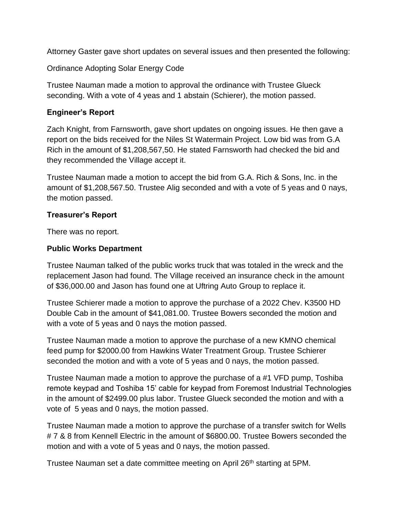Attorney Gaster gave short updates on several issues and then presented the following:

Ordinance Adopting Solar Energy Code

Trustee Nauman made a motion to approval the ordinance with Trustee Glueck seconding. With a vote of 4 yeas and 1 abstain (Schierer), the motion passed.

### **Engineer's Report**

Zach Knight, from Farnsworth, gave short updates on ongoing issues. He then gave a report on the bids received for the Niles St Watermain Project. Low bid was from G.A Rich in the amount of \$1,208,567,50. He stated Farnsworth had checked the bid and they recommended the Village accept it.

Trustee Nauman made a motion to accept the bid from G.A. Rich & Sons, Inc. in the amount of \$1,208,567.50. Trustee Alig seconded and with a vote of 5 yeas and 0 nays, the motion passed.

#### **Treasurer's Report**

There was no report.

#### **Public Works Department**

Trustee Nauman talked of the public works truck that was totaled in the wreck and the replacement Jason had found. The Village received an insurance check in the amount of \$36,000.00 and Jason has found one at Uftring Auto Group to replace it.

Trustee Schierer made a motion to approve the purchase of a 2022 Chev. K3500 HD Double Cab in the amount of \$41,081.00. Trustee Bowers seconded the motion and with a vote of 5 yeas and 0 nays the motion passed.

Trustee Nauman made a motion to approve the purchase of a new KMNO chemical feed pump for \$2000.00 from Hawkins Water Treatment Group. Trustee Schierer seconded the motion and with a vote of 5 yeas and 0 nays, the motion passed.

Trustee Nauman made a motion to approve the purchase of a #1 VFD pump, Toshiba remote keypad and Toshiba 15' cable for keypad from Foremost Industrial Technologies in the amount of \$2499.00 plus labor. Trustee Glueck seconded the motion and with a vote of 5 yeas and 0 nays, the motion passed.

Trustee Nauman made a motion to approve the purchase of a transfer switch for Wells # 7 & 8 from Kennell Electric in the amount of \$6800.00. Trustee Bowers seconded the motion and with a vote of 5 yeas and 0 nays, the motion passed.

Trustee Nauman set a date committee meeting on April 26<sup>th</sup> starting at 5PM.